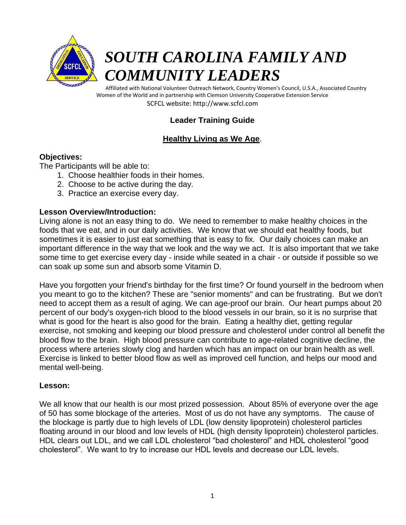

# *SOUTH CAROLINA FAMILY AND COMMUNITY LEADERS*

Affiliated with National Volunteer Outreach Network, Country Women's Council, U.S.A., Associated Country Women of the World and in partnership with Clemson University Cooperative Extension Service SCFCL website: http://www.scfcl.com

# **Leader Training Guide**

# **Healthy Living as We Age**.

## **Objectives:**

The Participants will be able to:

- 1. Choose healthier foods in their homes.
- 2. Choose to be active during the day.
- 3. Practice an exercise every day.

## **Lesson Overview/Introduction:**

Living alone is not an easy thing to do. We need to remember to make healthy choices in the foods that we eat, and in our daily activities. We know that we should eat healthy foods, but sometimes it is easier to just eat something that is easy to fix. Our daily choices can make an important difference in the way that we look and the way we act. It is also important that we take some time to get exercise every day - inside while seated in a chair - or outside if possible so we can soak up some sun and absorb some Vitamin D.

Have you forgotten your friend's birthday for the first time? Or found yourself in the bedroom when you meant to go to the kitchen? These are "senior moments" and can be frustrating. But we don't need to accept them as a result of aging. We can age-proof our brain. Our heart pumps about 20 percent of our body's oxygen-rich blood to the blood vessels in our brain, so it is no surprise that what is good for the heart is also good for the brain. Eating a healthy diet, getting regular exercise, not smoking and keeping our blood pressure and cholesterol under control all benefit the blood flow to the brain. High blood pressure can contribute to age-related cognitive decline, the process where arteries slowly clog and harden which has an impact on our brain health as well. Exercise is linked to better blood flow as well as improved cell function, and helps our mood and mental well-being.

# **Lesson:**

We all know that our health is our most prized possession. About 85% of everyone over the age of 50 has some blockage of the arteries. Most of us do not have any symptoms. The cause of the blockage is partly due to high levels of LDL (low density lipoprotein) cholesterol particles floating around in our blood and low levels of HDL (high density lipoprotein) cholesterol particles. HDL clears out LDL, and we call LDL cholesterol "bad cholesterol" and HDL cholesterol "good cholesterol". We want to try to increase our HDL levels and decrease our LDL levels.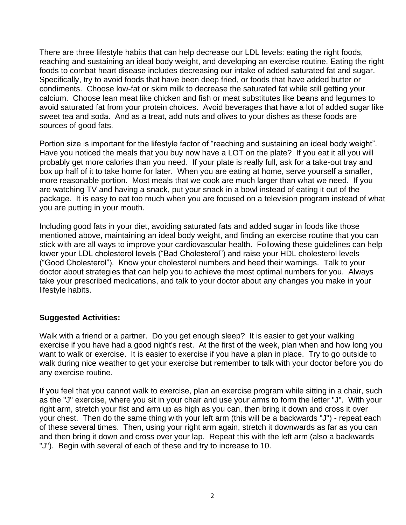There are three lifestyle habits that can help decrease our LDL levels: eating the right foods, reaching and sustaining an ideal body weight, and developing an exercise routine. Eating the right foods to combat heart disease includes decreasing our intake of added saturated fat and sugar. Specifically, try to avoid foods that have been deep fried, or foods that have added butter or condiments. Choose low-fat or skim milk to decrease the saturated fat while still getting your calcium. Choose lean meat like chicken and fish or meat substitutes like beans and legumes to avoid saturated fat from your protein choices. Avoid beverages that have a lot of added sugar like sweet tea and soda. And as a treat, add nuts and olives to your dishes as these foods are sources of good fats.

Portion size is important for the lifestyle factor of "reaching and sustaining an ideal body weight". Have you noticed the meals that you buy now have a LOT on the plate? If you eat it all you will probably get more calories than you need. If your plate is really full, ask for a take-out tray and box up half of it to take home for later. When you are eating at home, serve yourself a smaller, more reasonable portion. Most meals that we cook are much larger than what we need. If you are watching TV and having a snack, put your snack in a bowl instead of eating it out of the package. It is easy to eat too much when you are focused on a television program instead of what you are putting in your mouth.

Including good fats in your diet, avoiding saturated fats and added sugar in foods like those mentioned above, maintaining an ideal body weight, and finding an exercise routine that you can stick with are all ways to improve your cardiovascular health. Following these guidelines can help lower your LDL cholesterol levels ("Bad Cholesterol") and raise your HDL cholesterol levels ("Good Cholesterol"). Know your cholesterol numbers and heed their warnings. Talk to your doctor about strategies that can help you to achieve the most optimal numbers for you. Always take your prescribed medications, and talk to your doctor about any changes you make in your lifestyle habits.

### **Suggested Activities:**

Walk with a friend or a partner. Do you get enough sleep? It is easier to get your walking exercise if you have had a good night's rest. At the first of the week, plan when and how long you want to walk or exercise. It is easier to exercise if you have a plan in place. Try to go outside to walk during nice weather to get your exercise but remember to talk with your doctor before you do any exercise routine.

If you feel that you cannot walk to exercise, plan an exercise program while sitting in a chair, such as the "J" exercise, where you sit in your chair and use your arms to form the letter "J". With your right arm, stretch your fist and arm up as high as you can, then bring it down and cross it over your chest. Then do the same thing with your left arm (this will be a backwards "J") - repeat each of these several times. Then, using your right arm again, stretch it downwards as far as you can and then bring it down and cross over your lap. Repeat this with the left arm (also a backwards "J"). Begin with several of each of these and try to increase to 10.